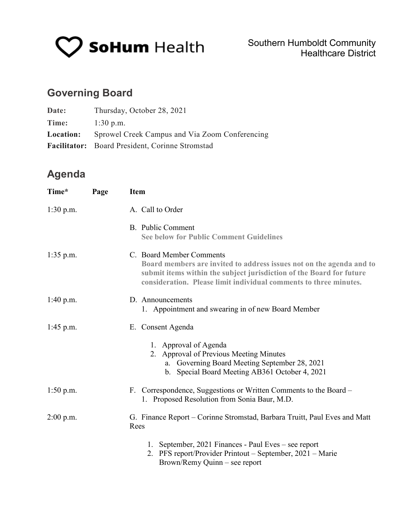

# **Governing Board**

| Date:            | Thursday, October 28, 2021                      |
|------------------|-------------------------------------------------|
| Time:            | $1:30$ p.m.                                     |
| <b>Location:</b> | Sprowel Creek Campus and Via Zoom Conferencing  |
|                  | Facilitator: Board President, Corinne Stromstad |

## **Agenda**

| Time*       | Page | <b>Item</b>                                                                                                                                                                                                                                   |  |
|-------------|------|-----------------------------------------------------------------------------------------------------------------------------------------------------------------------------------------------------------------------------------------------|--|
| $1:30$ p.m. |      | A. Call to Order                                                                                                                                                                                                                              |  |
|             |      | B. Public Comment<br><b>See below for Public Comment Guidelines</b>                                                                                                                                                                           |  |
| $1:35$ p.m. |      | C. Board Member Comments<br>Board members are invited to address issues not on the agenda and to<br>submit items within the subject jurisdiction of the Board for future<br>consideration. Please limit individual comments to three minutes. |  |
| 1:40 p.m.   |      | D. Announcements<br>1. Appointment and swearing in of new Board Member                                                                                                                                                                        |  |
| $1:45$ p.m. |      | E. Consent Agenda                                                                                                                                                                                                                             |  |
|             |      | 1. Approval of Agenda<br>2. Approval of Previous Meeting Minutes<br>a. Governing Board Meeting September 28, 2021<br>b. Special Board Meeting AB361 October 4, 2021                                                                           |  |
| $1:50$ p.m. |      | F. Correspondence, Suggestions or Written Comments to the Board –<br>1. Proposed Resolution from Sonia Baur, M.D.                                                                                                                             |  |
| $2:00$ p.m. |      | G. Finance Report – Corinne Stromstad, Barbara Truitt, Paul Eves and Matt<br>Rees                                                                                                                                                             |  |
|             |      | 1. September, 2021 Finances - Paul Eves – see report<br>2. PFS report/Provider Printout – September, 2021 – Marie<br>Brown/Remy Quinn – see report                                                                                            |  |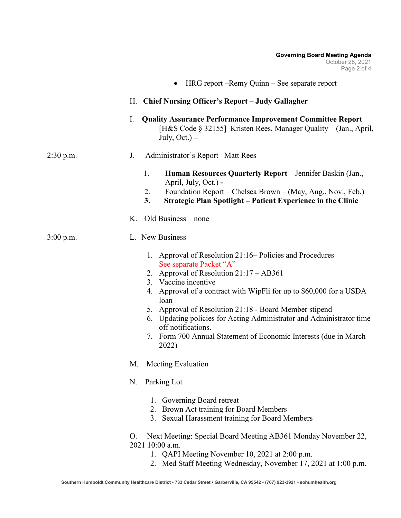|             | HRG report – Remy Quinn – See separate report                                                                                                                                                                                                                                                                                                                                                                                                                                               |  |  |  |
|-------------|---------------------------------------------------------------------------------------------------------------------------------------------------------------------------------------------------------------------------------------------------------------------------------------------------------------------------------------------------------------------------------------------------------------------------------------------------------------------------------------------|--|--|--|
|             | H. Chief Nursing Officer's Report - Judy Gallagher                                                                                                                                                                                                                                                                                                                                                                                                                                          |  |  |  |
|             | <b>Quality Assurance Performance Improvement Committee Report</b><br>I.<br>[H&S Code § 32155]–Kristen Rees, Manager Quality – (Jan., April,<br>July, $Oct.$ ) –                                                                                                                                                                                                                                                                                                                             |  |  |  |
| $2:30$ p.m. | Administrator's Report – Matt Rees<br>J.                                                                                                                                                                                                                                                                                                                                                                                                                                                    |  |  |  |
|             | 1.<br>Human Resources Quarterly Report - Jennifer Baskin (Jan.,<br>April, July, Oct.) -<br>Foundation Report – Chelsea Brown – (May, Aug., Nov., Feb.)<br>2.<br>3.<br><b>Strategic Plan Spotlight - Patient Experience in the Clinic</b><br>Old Business – none<br>Κ.                                                                                                                                                                                                                       |  |  |  |
| $3:00$ p.m. | L. New Business                                                                                                                                                                                                                                                                                                                                                                                                                                                                             |  |  |  |
|             | Approval of Resolution 21:16–Policies and Procedures<br>1.<br>See separate Packet "A"<br>Approval of Resolution 21:17 - AB361<br>2.<br>3. Vaccine incentive<br>Approval of a contract with WipFli for up to \$60,000 for a USDA<br>4.<br>loan<br>Approval of Resolution 21:18 - Board Member stipend<br>5.<br>Updating policies for Acting Administrator and Administrator time<br>6.<br>off notifications.<br>Form 700 Annual Statement of Economic Interests (due in March<br>7.<br>2022) |  |  |  |
|             | Meeting Evaluation<br>M.                                                                                                                                                                                                                                                                                                                                                                                                                                                                    |  |  |  |
|             | Parking Lot<br>N.                                                                                                                                                                                                                                                                                                                                                                                                                                                                           |  |  |  |
|             | 1. Governing Board retreat<br>Brown Act training for Board Members<br>2.<br>Sexual Harassment training for Board Members<br>3.                                                                                                                                                                                                                                                                                                                                                              |  |  |  |
|             | Next Meeting: Special Board Meeting AB361 Monday November 22,<br>O.<br>2021 10:00 a.m.<br>1. QAPI Meeting November 10, 2021 at 2:00 p.m.<br>$Mod$ Staff Masting Wadnesday, Navambar 17, 2021 at 1:00.                                                                                                                                                                                                                                                                                       |  |  |  |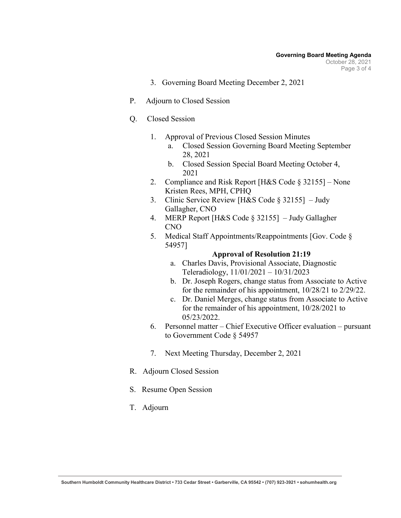- 3. Governing Board Meeting December 2, 2021
- P. Adjourn to Closed Session
- Q. Closed Session
	- 1. Approval of Previous Closed Session Minutes
		- a. Closed Session Governing Board Meeting September 28, 2021
		- b. Closed Session Special Board Meeting October 4, 2021
	- 2. Compliance and Risk Report [H&S Code § 32155] None Kristen Rees, MPH, CPHQ
	- 3. Clinic Service Review [H&S Code § 32155] Judy Gallagher, CNO
	- 4. MERP Report [H&S Code § 32155] Judy Gallagher CNO
	- 5. Medical Staff Appointments/Reappointments [Gov. Code § 54957]

#### **Approval of Resolution 21:19**

- a. Charles Davis, Provisional Associate, Diagnostic Teleradiology, 11/01/2021 – 10/31/2023
- b. Dr. Joseph Rogers, change status from Associate to Active for the remainder of his appointment, 10/28/21 to 2/29/22.
- c. Dr. Daniel Merges, change status from Associate to Active for the remainder of his appointment, 10/28/2021 to 05/23/2022.
- 6. Personnel matter Chief Executive Officer evaluation pursuant to Government Code § 54957
- 7. Next Meeting Thursday, December 2, 2021
- R. Adjourn Closed Session
- S. Resume Open Session
- T. Adjourn